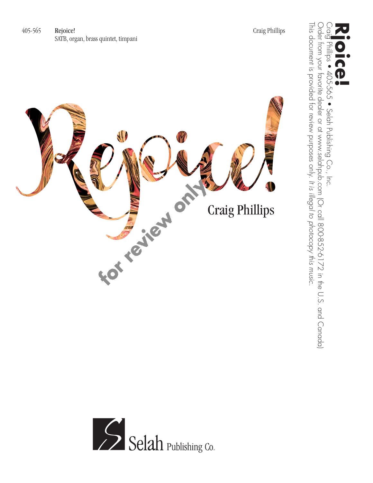





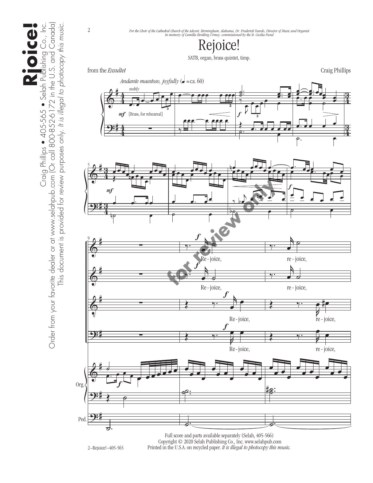Order from your favorite dealer or at www.selahpub.com (Or call 800-852-6172 in the U.S. and Canada) Order from your favorite dealer or at www.selahpub.com (Or call 800-852-6172 in the U.S. and Canada) **Rjoice!** Craig Phillips • 405-565 • Selah Publishing Co., Inc. This document is provided for review purposes only. It is illegal to photocopy this music. This document is provided for review purposes only. *It is illegal to photocopy this music.*

2

## Rejoice!

SATB, organ, brass quintet, timp.

from the *Exsultet* Craig Phillips









Full score and parts available separately (Selah, 405-566) Copyright © 2020 Selah Publishing Co., Inc. www.selahpub.com Printed in the U.S.A. on recycled paper. *It is illegal to photocopy this music.* 

2–Rejoice!–405-565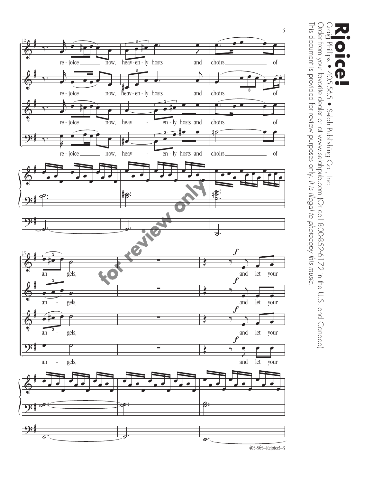

 $\begin{array}{c}\n\bigcap_{\alpha=1}^{\infty}$ Order from your favorite dealer or at www.selahpub.com (Or call 800-852-6172 in the U.S. and Canada) This document is provided for review purposes only. It is illegal to photocopy this music. This document is provided for review purposes only. Order from your favorite dealer or at www.selahpub.com (Or call 800-852-6172 in the U.S. and Canada) **CCP**<br>Craig Phillips • 405-565 • Selah Publishing Co., Inc.<br>Craig Phillips • 405-565 • Selah Publishing Co., Inc. Phillips ● 405-565 · Selah Publishing Co., Inc.  $\mathbf{P}$ ۸n *It is illegal to photocopy this music.*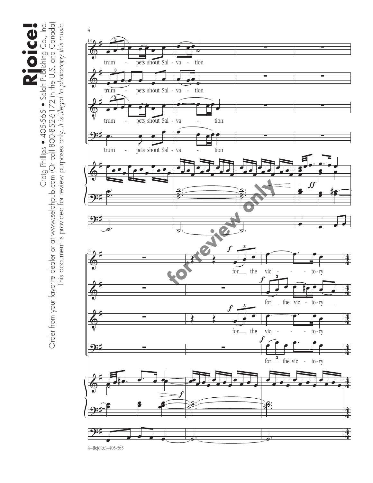Order from your favorite dealer or at www.selahpub.com (Or call 800-852-6172 in the U.S. and Canada)<br>Order from your favorite dealer or at www.selahpub.com (Or call 800-852-6172 in the U.S. and Canada) Order from your favorite dealer or at www.selahpub.com (Or call 800-852-6172 in the U.S. and Canada) This document is provided for review purposes only. It is illegal to photocopy this music. **Rjoice!** Craig Phillips • 405-565 • Selah Publishing Co., Inc. This document is provided for review purposes only. *It is illegal to photocopy this music.*



4–Rejoice!–405-565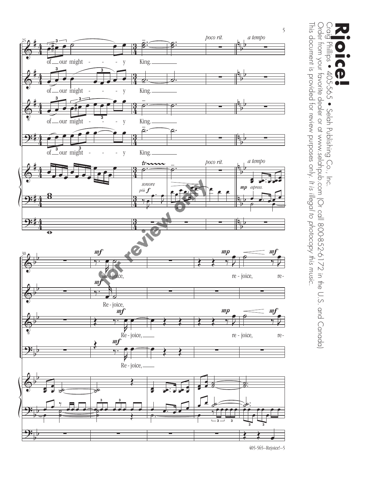

 $\begin{array}{c} 0 \\ \underline{0} \\ \underline{0} \end{array}$ Order from your favorite dealer or at www.selahpub.com (Or call 800-852-6172 in the U.S. and Canada) This document is provided for review purposes only. It is illegal to photocopy this music. This document is provided for review purposes only. Order from your favorite dealer or at www.selahpub.com (Or call 800-852-6172 in the U.S. and Canada) **CCP**<br>Craig Phillips • 405-565 • Selah Publishing Co., Inc.<br>Craig Phillips • 405-565 • Selah Publishing Co., Inc. Phillips • 405-565 · Selah Publishing Co., Inc.  $\overline{\mathbf{D}}$  $\bullet$   $\blacksquare$ *It is illegal to photocopy this music.*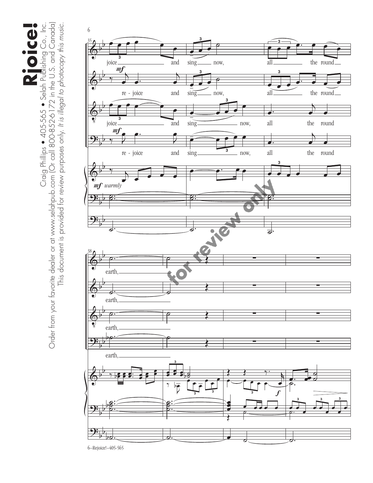Order from your favorite dealer or at www.selahpub.com (Or call 800-852-6172 in the U.S. and Canada) Order from your favorite dealer or at www.selahpub.com (Or call 800-852-6172 in the U.S. and Canada) This document is provided for review purposes only. It is illegal to photocopy this music. **Rjoice!** Craig Phillips • 405-565 • Selah Publishing Co., Inc. This document is provided for review purposes only. *It is illegal to photocopy this music.*



6–Rejoice!–405-565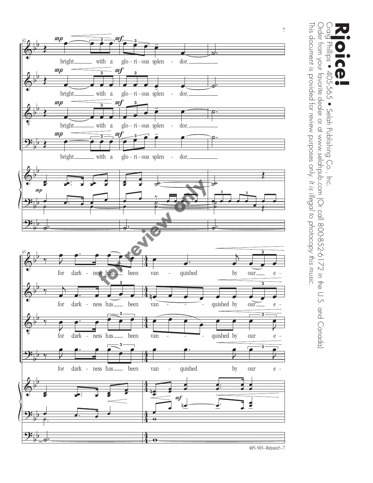

Order from your favorite dealer or at www.selahpub.com (Or call 800-852-6172 in the U.S. and Canada)  $\frac{1}{2}$ This document is provided for review purposes only. It is illegal to photocopy this music. This document is provided for review purposes only. Order from your favorite dealer or at www.selahpub.com (Or call 800-852-6172 in the U.S. and Canada) **CCP**<br>Craig Phillips • 405-565 • Selah Publishing Co., Inc.<br>Craig Phillips • 405-565 • Selah Publishing Co., Inc. cā No.  $\overline{\phantom{1}}$  soll 405-565 • Selah Publishing Co., Inc. *It is illegal to photocopy this music.*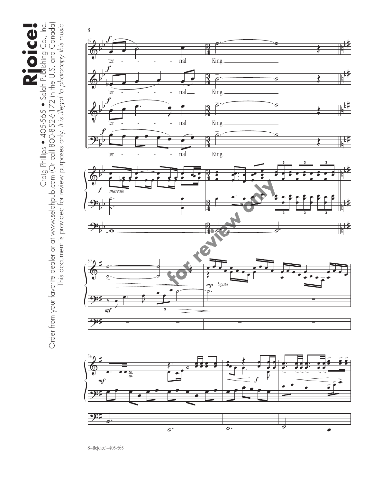Order from your favorite dealer or at www.selahpub.com (Or call 800-852-6172 in the U.S. and Canada) Order from your favorite dealer or at www.selahpub.com (Or call 800-852-6172 in the U.S. and Canada) This document is provided for review purposes only. It is illegal to photocopy this music. **Rjoice!** Craig Phillips • 405-565 • Selah Publishing Co., Inc. This document is provided for review purposes only. *It is illegal to photocopy this music.*

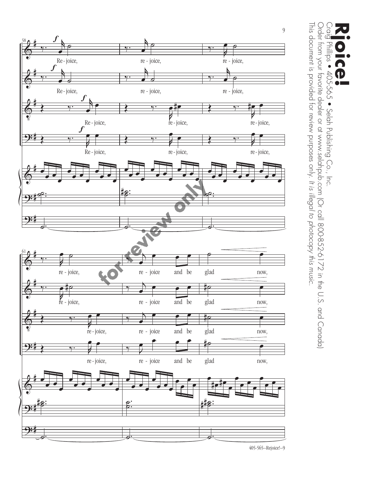

Crai<mark>g</mark> Phillips ● 405-565 ● Selah Publishing Co., Inc.<br>Order from your favorite dealer or at www.selahpub.com (Or call 800-852-6172 in the U.S. and Canada)  $\overline{Q}$ This document is provided for review purposes only. It is illegal to photocopy this music. This document is provided for review purposes only. Order from your favorite dealer or at www.selahpub.com (Or call 800-852-6172 in the U.S. and Canada) **CCP**<br>Craig Phillips • 405-565 • Selah Publishing Co., Inc.<br>Craig Phillips • 405-565 • Selah Publishing Co., Inc.  $\bullet$ *It is illegal to photocopy this music.*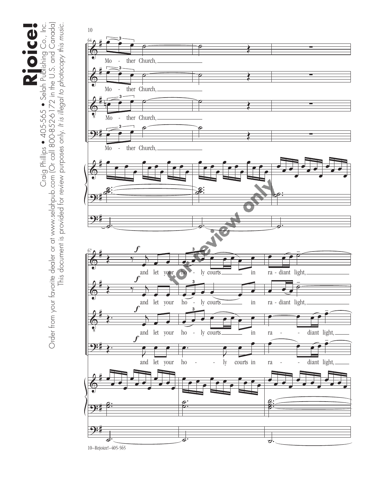Order from your favorite dealer or at www.selahpub.com (Or call 800-852-6172 in the U.S. and Canada)<br>Order from your favorite dealer or at www.selahpub.com (Or call 800-852-6172 in the U.S. and Canada) Order from your favorite dealer or at www.selahpub.com (Or call 800-852-6172 in the U.S. and Canada) This document is provided for review purposes only. It is illegal to photocopy this music. **Rjoice!** Craig Phillips • 405-565 • Selah Publishing Co., Inc. This document is provided for review purposes only. *It is illegal to photocopy this music.*

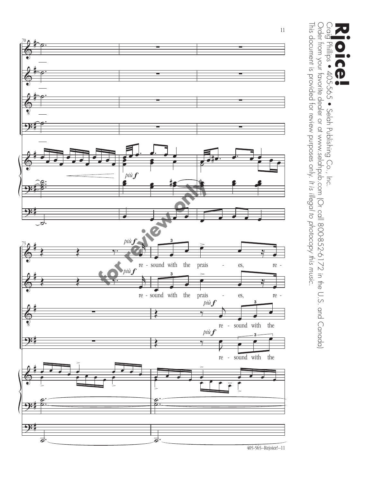

 $\begin{array}{c} 0.01 \\ 0.01 \\ -0.01 \end{array}$ Order from your favorite dealer or at www.selahpub.com (Or call 800-852-6172 in the U.S. and Canada) This document is provided for review purposes only. It is illegal to photocopy this music. This document is provided for review purposes only. Order from your favorite dealer or at www.selahpub.com (Or call 800-852-6172 in the U.S. and Canada) **CCP**<br>Craig Phillips • 405-565 • Selah Publishing Co., Inc.<br>Craig Phillips • 405-565 • Selah Publishing Co., Inc. Phillips • 405-565 · Selah Publishing Co., Inc.  $\bf P$  $\bullet$   $\blacksquare$ *It is illegal to photocopy this music.*